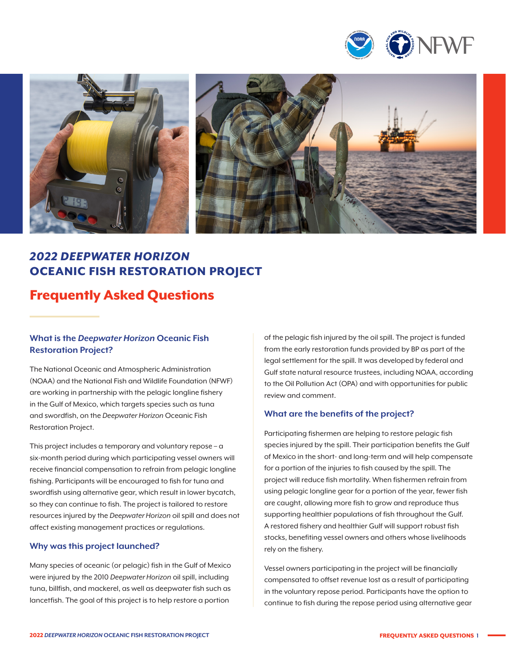





# *2022 DEEPWATER HORIZON*  OCEANIC FISH RESTORATION PROJECT

# Frequently Asked Questions

# **What is the** *Deepwater Horizon* **Oceanic Fish Restoration Project?**

The National Oceanic and Atmospheric Administration (NOAA) and the National Fish and Wildlife Foundation (NFWF) are working in partnership with the pelagic longline fishery in the Gulf of Mexico, which targets species such as tuna and swordfish, on the *Deepwater Horizon* Oceanic Fish Restoration Project.

This project includes a temporary and voluntary repose – a six-month period during which participating vessel owners will receive financial compensation to refrain from pelagic longline fishing. Participants will be encouraged to fish for tuna and swordfish using alternative gear, which result in lower bycatch, so they can continue to fish. The project is tailored to restore resources injured by the *Deepwater Horizon* oil spill and does not affect existing management practices or regulations.

### **Why was this project launched?**

Many species of oceanic (or pelagic) fish in the Gulf of Mexico were injured by the 2010 *Deepwater Horizon* oil spill, including tuna, billfish, and mackerel, as well as deepwater fish such as lancetfish. The goal of this project is to help restore a portion

of the pelagic fish injured by the oil spill. The project is funded from the early restoration funds provided by BP as part of the legal settlement for the spill. It was developed by federal and Gulf state natural resource trustees, including NOAA, according to the Oil Pollution Act (OPA) and with opportunities for public review and comment.

#### **What are the benefits of the project?**

Participating fishermen are helping to restore pelagic fish species injured by the spill. Their participation benefits the Gulf of Mexico in the short- and long-term and will help compensate for a portion of the injuries to fish caused by the spill. The project will reduce fish mortality. When fishermen refrain from using pelagic longline gear for a portion of the year, fewer fish are caught, allowing more fish to grow and reproduce thus supporting healthier populations of fish throughout the Gulf. A restored fishery and healthier Gulf will support robust fish stocks, benefiting vessel owners and others whose livelihoods rely on the fishery.

Vessel owners participating in the project will be financially compensated to offset revenue lost as a result of participating in the voluntary repose period. Participants have the option to continue to fish during the repose period using alternative gear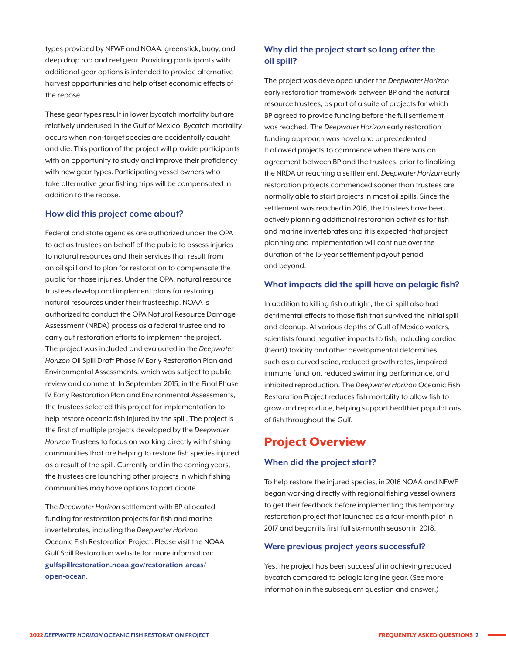types provided by NFWF and NOAA: greenstick, buoy, and deep drop rod and reel gear. Providing participants with additional gear options is intended to provide alternative harvest opportunities and help offset economic effects of the repose.

These gear types result in lower bycatch mortality but are relatively underused in the Gulf of Mexico. Bycatch mortality occurs when non-target species are accidentally caught and die. This portion of the project will provide participants with an opportunity to study and improve their proficiency with new gear types. Participating vessel owners who take alternative gear fishing trips will be compensated in addition to the repose.

#### **How did this project come about?**

Federal and state agencies are authorized under the OPA to act as trustees on behalf of the public to assess injuries to natural resources and their services that result from an oil spill and to plan for restoration to compensate the public for those injuries. Under the OPA, natural resource trustees develop and implement plans for restoring natural resources under their trusteeship. NOAA is authorized to conduct the OPA Natural Resource Damage Assessment (NRDA) process as a federal trustee and to carry out restoration efforts to implement the project. The project was included and evaluated in the *Deepwater Horizon* Oil Spill Draft Phase IV Early Restoration Plan and Environmental Assessments, which was subject to public review and comment. In September 2015, in the Final Phase IV Early Restoration Plan and Environmental Assessments, the trustees selected this project for implementation to help restore oceanic fish injured by the spill. The project is the first of multiple projects developed by the *Deepwater Horizon* Trustees to focus on working directly with fishing communities that are helping to restore fish species injured as a result of the spill. Currently and in the coming years, the trustees are launching other projects in which fishing communities may have options to participate.

The *Deepwater Horizon* settlement with BP allocated funding for restoration projects for fish and marine invertebrates, including the *Deepwater Horizon* Oceanic Fish Restoration Project. Please visit the NOAA Gulf Spill Restoration website for more information: **[gulfspillrestoration.noaa.gov/restoration-areas/](https://www.gulfspillrestoration.noaa.gov/restoration-areas/open-ocean) [open-ocean](https://www.gulfspillrestoration.noaa.gov/restoration-areas/open-ocean)**.

## **Why did the project start so long after the oil spill?**

The project was developed under the *Deepwater Horizon* early restoration framework between BP and the natural resource trustees, as part of a suite of projects for which BP agreed to provide funding before the full settlement was reached. The *Deepwater Horizon* early restoration funding approach was novel and unprecedented. It allowed projects to commence when there was an agreement between BP and the trustees, prior to finalizing the NRDA or reaching a settlement. *Deepwater Horizon* early restoration projects commenced sooner than trustees are normally able to start projects in most oil spills. Since the settlement was reached in 2016, the trustees have been actively planning additional restoration activities for fish and marine invertebrates and it is expected that project planning and implementation will continue over the duration of the 15-year settlement payout period and beyond.

#### **What impacts did the spill have on pelagic fish?**

In addition to killing fish outright, the oil spill also had detrimental effects to those fish that survived the initial spill and cleanup. At various depths of Gulf of Mexico waters, scientists found negative impacts to fish, including cardiac (heart) toxicity and other developmental deformities such as a curved spine, reduced growth rates, impaired immune function, reduced swimming performance, and inhibited reproduction. The *Deepwater Horizon* Oceanic Fish Restoration Project reduces fish mortality to allow fish to grow and reproduce, helping support healthier populations of fish throughout the Gulf.

# Project Overview

#### **When did the project start?**

To help restore the injured species, in 2016 NOAA and NFWF began working directly with regional fishing vessel owners to get their feedback before implementing this temporary restoration project that launched as a four-month pilot in 2017 and began its first full six-month season in 2018.

#### **Were previous project years successful?**

Yes, the project has been successful in achieving reduced bycatch compared to pelagic longline gear. (See more information in the subsequent question and answer.)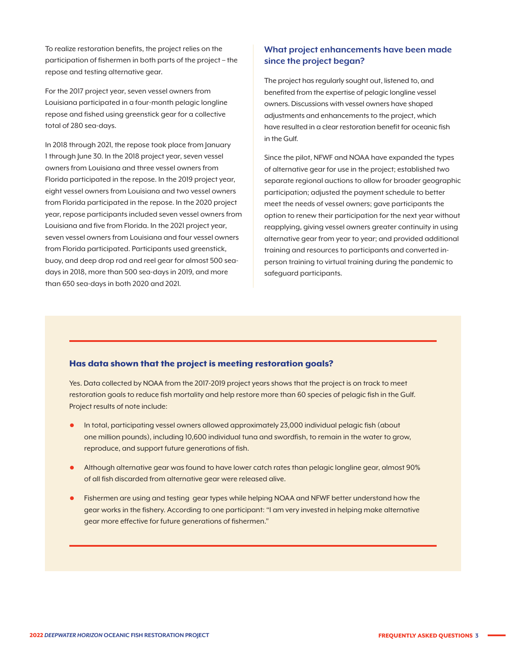To realize restoration benefits, the project relies on the participation of fishermen in both parts of the project – the repose and testing alternative gear.

For the 2017 project year, seven vessel owners from Louisiana participated in a four-month pelagic longline repose and fished using greenstick gear for a collective total of 280 sea-days.

In 2018 through 2021, the repose took place from January 1 through June 30. In the 2018 project year, seven vessel owners from Louisiana and three vessel owners from Florida participated in the repose. In the 2019 project year, eight vessel owners from Louisiana and two vessel owners from Florida participated in the repose. In the 2020 project year, repose participants included seven vessel owners from Louisiana and five from Florida. In the 2021 project year, seven vessel owners from Louisiana and four vessel owners from Florida participated. Participants used greenstick, buoy, and deep drop rod and reel gear for almost 500 seadays in 2018, more than 500 sea-days in 2019, and more than 650 sea-days in both 2020 and 2021.

# **What project enhancements have been made since the project began?**

The project has regularly sought out, listened to, and benefited from the expertise of pelagic longline vessel owners. Discussions with vessel owners have shaped adjustments and enhancements to the project, which have resulted in a clear restoration benefit for oceanic fish in the Gulf.

Since the pilot, NFWF and NOAA have expanded the types of alternative gear for use in the project; established two separate regional auctions to allow for broader geographic participation; adjusted the payment schedule to better meet the needs of vessel owners; gave participants the option to renew their participation for the next year without reapplying, giving vessel owners greater continuity in using alternative gear from year to year; and provided additional training and resources to participants and converted inperson training to virtual training during the pandemic to safeguard participants.

#### Has data shown that the project is meeting restoration goals?

Yes. Data collected by NOAA from the 2017-2019 project years shows that the project is on track to meet restoration goals to reduce fish mortality and help restore more than 60 species of pelagic fish in the Gulf. Project results of note include:

- In total, participating vessel owners allowed approximately 23,000 individual pelagic fish (about one million pounds), including 10,600 individual tuna and swordfish, to remain in the water to grow, reproduce, and support future generations of fish.
- Although alternative gear was found to have lower catch rates than pelagic longline gear, almost 90% of all fish discarded from alternative gear were released alive.
- Fishermen are using and testing gear types while helping NOAA and NFWF better understand how the gear works in the fishery. According to one participant: "I am very invested in helping make alternative gear more effective for future generations of fishermen."